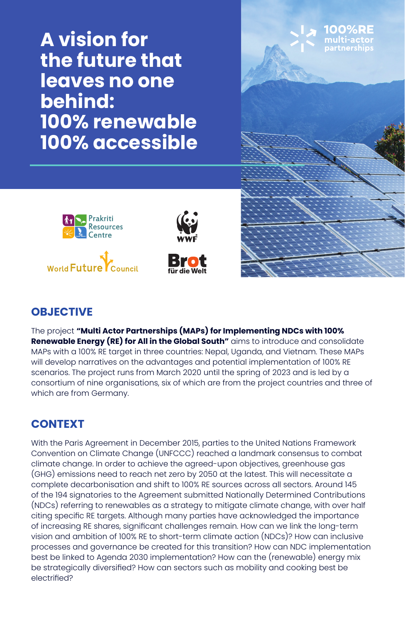**A vision for the future that leaves no one behind: 100% renewable 100% accessible**



# **Resources**

Prakriti





## **OBJECTIVE**

The project **"Multi Actor Partnerships (MAPs) for Implementing NDCs with 100% Renewable Energy (RE) for All in the Global South"** aims to introduce and consolidate MAPs with a 100% RE target in three countries: Nepal, Uganda, and Vietnam. These MAPs will develop narratives on the advantages and potential implementation of 100% RE scenarios. The project runs from March 2020 until the spring of 2023 and is led by a consortium of nine organisations, six of which are from the project countries and three of which are from Germany.

#### **CONTEXT**

With the Paris Agreement in December 2015, parties to the United Nations Framework Convention on Climate Change (UNFCCC) reached a landmark consensus to combat climate change. In order to achieve the agreed-upon objectives, greenhouse gas (GHG) emissions need to reach net zero by 2050 at the latest. This will necessitate a complete decarbonisation and shift to 100% RE sources across all sectors. Around 145 of the 194 signatories to the Agreement submitted Nationally Determined Contributions (NDCs) referring to renewables as a strategy to mitigate climate change, with over half citing specific RE targets. Although many parties have acknowledged the importance of increasing RE shares, significant challenges remain. How can we link the long-term vision and ambition of 100% RE to short-term climate action (NDCs)? How can inclusive processes and governance be created for this transition? How can NDC implementation best be linked to Agenda 2030 implementation? How can the (renewable) energy mix be strategically diversified? How can sectors such as mobility and cooking best be electrified?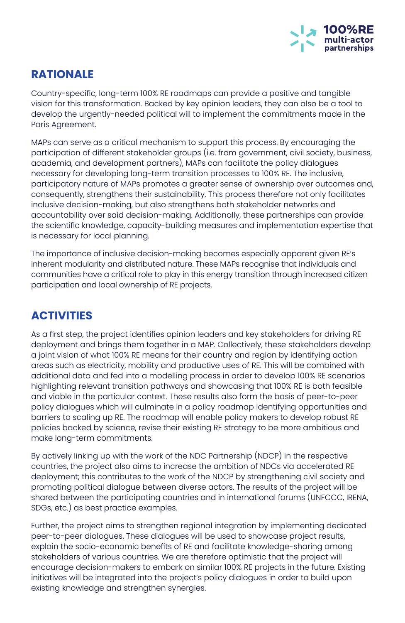

#### **RATIONALE**

Country-specific, long-term 100% RE roadmaps can provide a positive and tangible vision for this transformation. Backed by key opinion leaders, they can also be a tool to develop the urgently-needed political will to implement the commitments made in the Paris Agreement.

MAPs can serve as a critical mechanism to support this process. By encouraging the participation of different stakeholder groups (i.e. from government, civil society, business, academia, and development partners), MAPs can facilitate the policy dialogues necessary for developing long-term transition processes to 100% RE. The inclusive, participatory nature of MAPs promotes a greater sense of ownership over outcomes and, consequently, strengthens their sustainability. This process therefore not only facilitates inclusive decision-making, but also strengthens both stakeholder networks and accountability over said decision-making. Additionally, these partnerships can provide the scientific knowledge, capacity-building measures and implementation expertise that is necessary for local planning.

The importance of inclusive decision-making becomes especially apparent given RE's inherent modularity and distributed nature. These MAPs recognise that individuals and communities have a critical role to play in this energy transition through increased citizen participation and local ownership of RE projects.

### **ACTIVITIES**

As a first step, the project identifies opinion leaders and key stakeholders for driving RE deployment and brings them together in a MAP. Collectively, these stakeholders develop a joint vision of what 100% RE means for their country and region by identifying action areas such as electricity, mobility and productive uses of RE. This will be combined with additional data and fed into a modelling process in order to develop 100% RE scenarios highlighting relevant transition pathways and showcasing that 100% RE is both feasible and viable in the particular context. These results also form the basis of peer-to-peer policy dialogues which will culminate in a policy roadmap identifying opportunities and barriers to scaling up RE. The roadmap will enable policy makers to develop robust RE policies backed by science, revise their existing RE strategy to be more ambitious and make long-term commitments.

By actively linking up with the work of the NDC Partnership (NDCP) in the respective countries, the project also aims to increase the ambition of NDCs via accelerated RE deployment; this contributes to the work of the NDCP by strengthening civil society and promoting political dialogue between diverse actors. The results of the project will be shared between the participating countries and in international forums (UNFCCC, IRENA, SDGs, etc.) as best practice examples.

Further, the project aims to strengthen regional integration by implementing dedicated peer-to-peer dialogues. These dialogues will be used to showcase project results, explain the socio-economic benefits of RE and facilitate knowledge-sharing among stakeholders of various countries. We are therefore optimistic that the project will encourage decision-makers to embark on similar 100% RE projects in the future. Existing initiatives will be integrated into the project's policy dialogues in order to build upon existing knowledge and strengthen synergies.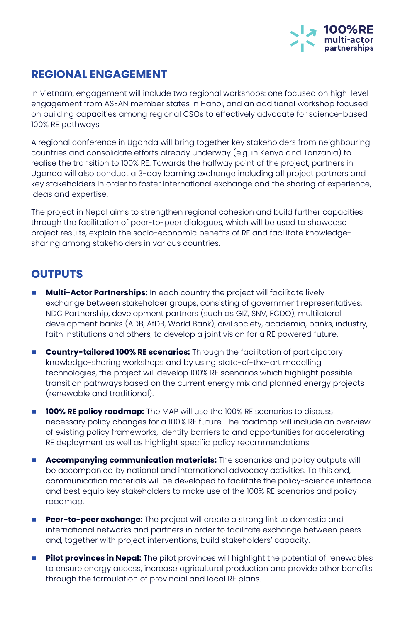

#### **REGIONAL ENGAGEMENT**

In Vietnam, engagement will include two regional workshops: one focused on high-level engagement from ASEAN member states in Hanoi, and an additional workshop focused on building capacities among regional CSOs to effectively advocate for science-based 100% RE pathways.

A regional conference in Uganda will bring together key stakeholders from neighbouring countries and consolidate efforts already underway (e.g. in Kenya and Tanzania) to realise the transition to 100% RE. Towards the halfway point of the project, partners in Uganda will also conduct a 3-day learning exchange including all project partners and key stakeholders in order to foster international exchange and the sharing of experience, ideas and expertise.

The project in Nepal aims to strengthen regional cohesion and build further capacities through the facilitation of peer-to-peer dialogues, which will be used to showcase project results, explain the socio-economic benefits of RE and facilitate knowledgesharing among stakeholders in various countries.

#### **OUTPUTS**

- **Multi-Actor Partnerships:** In each country the project will facilitate lively exchange between stakeholder groups, consisting of government representatives, NDC Partnership, development partners (such as GIZ, SNV, FCDO), multilateral development banks (ADB, AfDB, World Bank), civil society, academia, banks, industry, faith institutions and others, to develop a joint vision for a RE powered future.
- **n Country-tailored 100% RE scenarios:** Through the facilitation of participatory knowledge-sharing workshops and by using state-of-the-art modelling technologies, the project will develop 100% RE scenarios which highlight possible transition pathways based on the current energy mix and planned energy projects (renewable and traditional).
- **100% RE policy roadmap:** The MAP will use the 100% RE scenarios to discuss necessary policy changes for a 100% RE future. The roadmap will include an overview of existing policy frameworks, identify barriers to and opportunities for accelerating RE deployment as well as highlight specific policy recommendations.
- **Accompanying communication materials:** The scenarios and policy outputs will be accompanied by national and international advocacy activities. To this end, communication materials will be developed to facilitate the policy-science interface and best equip key stakeholders to make use of the 100% RE scenarios and policy roadmap.
- **Peer-to-peer exchange:** The project will create a strong link to domestic and international networks and partners in order to facilitate exchange between peers and, together with project interventions, build stakeholders' capacity.
- **Pilot provinces in Nepal:** The pilot provinces will highlight the potential of renewables to ensure energy access, increase agricultural production and provide other benefits through the formulation of provincial and local RE plans.